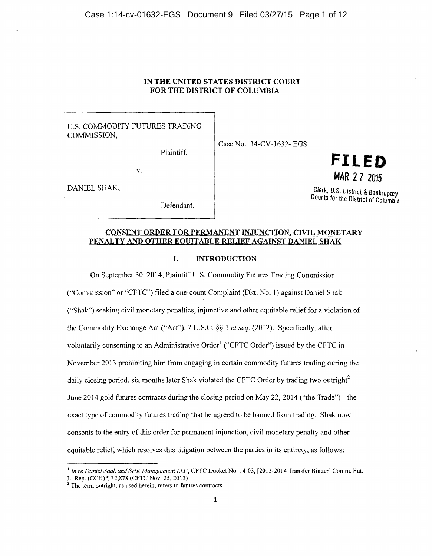# IN THE UNITED STATES DISTRICT COURT FOR THE DISTRICT OF COLUMBIA

# U.S. COMMODITY FUTURES TRADING COMMISSION,

Plaintiff,

Case No: 14-CV-1632- EGS

v.

DANIEL SHAK,

Defendant.

# **FILED MAR 2 7** <sup>2015</sup>

Clerk, U.S. District & Bankruptcy Courts for the District of Columbia

# CONSENT ORDER FOR PERMANENT INJUNCTION, CIVIL MONETARY PENALTY AND OTHER EQUITABLE RELIEF AGAINST DANIEL SHAK

# I. INTRODUCTION

On September 30,2014, Plaintiff U.S. Commodity Futures Trading Commission

("Commission" or "CFTC") filed a one-count Complaint (Dkt. No. 1) against Daniel Shak ("Shak") seeking civil monetary penalties, injunctive and other equitable relief for a violation of the Commodity Exchange Act ("Acf'), 7 U.S.C. §§ 1 *et seq.* (2012). Specifically, after voluntarily consenting to an Administrative Order<sup>1</sup> ("CFTC Order") issued by the CFTC in November 2013 prohibiting him from engaging in certain commodity futures trading during the daily closing period, six months later Shak violated the CFTC Order by trading two outright<sup>2</sup> June 2014 gold futures contracts during the closing period on May 22, 2014 ("the Trade'')- the exact type of commodity futures trading that he agreed to be banned from trading. Shak now consents to the entry of this order for permanent injunction, civil monetary penalty and other equitable relief, which resolves this litigation between the parties in its entirety, as follows:

<sup>&</sup>lt;sup>1</sup> In re Daniel Shak and SHK Management LLC, CFTC Docket No. 14-03, [2013-2014 Transfer Binder] Comm. Fut. L. Rep. (CCH) ¶ 32,878 (CFTC Nov. 25, 2013)

 $2$ . The term outright, as used herein, refers to futures contracts.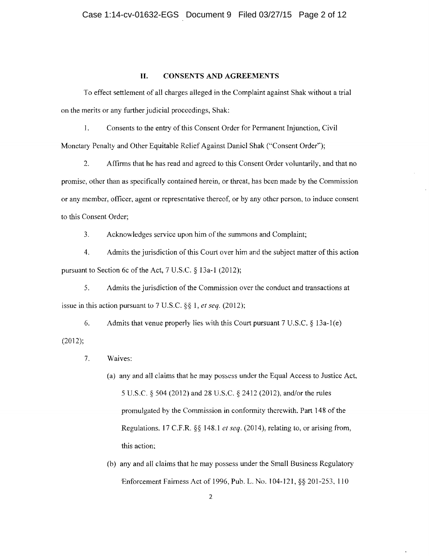# **II. CONSENTS AND AGREEMENTS**

To effect settlement of all charges alleged in the Complaint against Shak without a trial on the merits or any further judicial proceedings, Shak:

I. Consents to the entry of this Consent Order for Permanent Injunction, Civil Monetary Penalty and Other Equitable Relief Against Daniel Shak ("Consent Order'');

2. Affirms that he has read and agreed to this Consent Order voluntarily, and that no promise, other than as specifically contained herein, or threat, has been made by the Commission or any member, officer, agent or representative thereof, or by any other person, to induce consent to this Consent Order;

3. Acknowledges service upon him of the summons and Complaint;

4. Admits the jurisdiction of this Court over him and the subject matter of this action pursuant to Section 6c of the Act, 7 U.S.C. § 13a-1 (2012);

5. Admits the jurisdiction of the Commission over the conduct and transactions at issue in this action pursuant to 7 U.S.C. *§§* 1, *et seq.* (2012);

(2012); 6. Admits that venue properly lies with this Court pursuant  $7 \text{ U.S.C.} \& 13a-1(e)$ 

- 7. Waives:
	- (a) any and all claims that he may possess under the Equal Access to Justice Act. 5 U.S.C. § 504 (2012) and 28 U.S.C. § 2412 (2012), andlor the rules promulgated by the Commission in conformity therewith. Part 148 of the Regulations. 17 C.F.R. §§ 148.1 *et seq.* (2014), relating to, or arising from, this action;
	- (b) any and all claims that he may possess under the Small Business Regulatory 'Enforcement Fairness Act of 1996, Pub. L. No.1 04-121, §§ 201-253, 110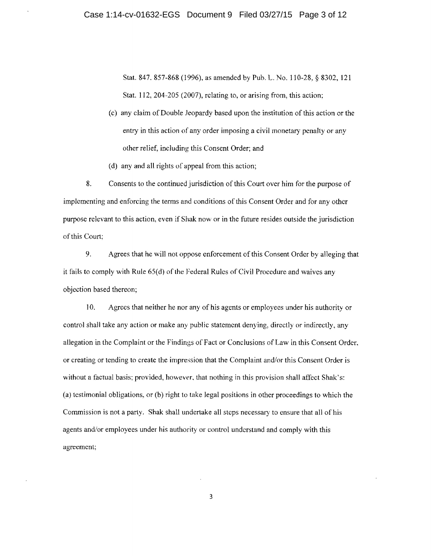Stat. 847.857-868 (1996), as amended by Pub. L. No. 110-28, § 8302, 121 Stat. 112, 204-205 (2007), relating to, or arising from, this action;

- (c) any claim of Double Jeopardy based upon the institution of this action or the entry in this action of any order imposing a civil monetary penalty or any other relief, including this Consent Order; and
- (d) any and all rights of appeal from this action;

8. Consents to the continued jurisdiction of this Court over him for the purpose of implementing and enforcing the terms and conditions of this Consent Order and for any other purpose relevant to this action, even if Shak now or in the future resides outside the jurisdiction of this Court;

9. Agrees that he will not oppose enforcement of this Consent Order by alleging that it fails to comply with Rule 65(d) of the Federal Rules of Civil Procedure and waives any objection based thereon;

10. Agrees that neither he nor any of his agents or employees under his authority or control shall take any action or make any public statement denying, directly or indirectly, any allegation in the Complaint or the Findings of Fact or Conclusions of Law in this Consent Order, or creating or tending to create the impression that the Complaint and/or this Consent Order is without a factual basis; provided, however, that nothing in this provision shall affect Shak's: (a) testimonial obligations, or (b) right to take legal positions in other proceedings to which the Commission is not a party. Shak shall undertake all steps necessary to ensure that all of his agents and/or employees under his authority or control understand and comply with this agreement;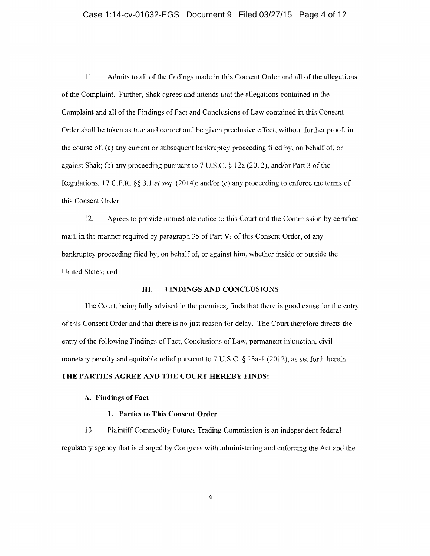# Case 1:14-cv-01632-EGS Document 9 Filed 03/27/15 Page 4 of 12

11. Admits to all of the findings made in this Consent Order and all ofthe allegations of the Complaint. Further, Shak agrees and intends that the allegations contained in the Complaint and all of the Findings of Fact and Conclusions of Law contained in this Consent Order shall be taken as true and correct and be given preclusive effect, without further proof. in the course of: (a) any current or subsequent bankruptcy proceeding filed by, on behalf of, or against Shak; (b) any proceeding pursuant to 7 U.S.C. § 12a (2012), and/or Part 3 of the Regulations, 17 C.F.R. *§§* 3.1 *et seq.* (20 14); and/or (c) any proceeding to enforce the terms of this Consent Order.

12. Agrees to provide immediate notice to this Court and the Commission by certified mail, in the manner required by paragraph 35 of Part VJ of this Consent Order, of any bankruptcy proceeding filed by, on behalf of, or against him, whether inside or outside the United States; and

# III. FINDINGS AND CONCLUSIONS

The Court, being fully advised in the premises, finds that there is good cause for the entry of this Consent Order and that there is no just reason for delay. The Court therefore directs the entry of the following Findings of Fact, Conclusions of Law, permanent injunction, civil monetary penalty and equitable relief pursuant to  $7 \text{ U.S.C.}$  § 13a-1 (2012), as set forth herein. THE PARTIES AGREE AND THE COURT HEREBY FINDS:

#### A. Findings of Fact

#### 1. Parties to This Consent Order

13. Plaintiff Commodity Futures Trading Commission is an independent federal regulatory agency that is charged by Congress with administering and enforcing the Act and the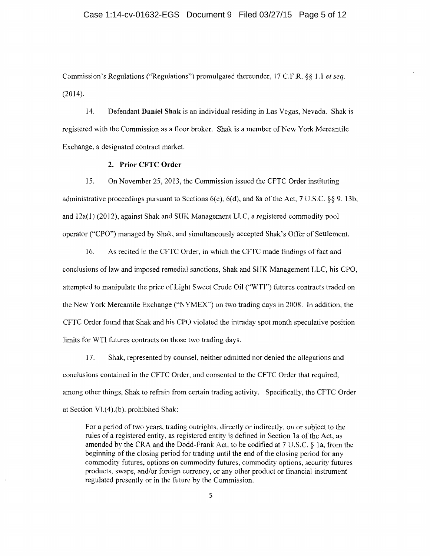## Case 1:14-cv-01632-EGS Document 9 Filed 03/27/15 Page 5 of 12

Commission's Regulations ("'Regulations") promulgated thereunder, 17 C.F.R. §§ 1.1 *et seq.*  (2014).

14. Defendant Daniel Shak is an individual residing in Las Vegas, Nevada. Shak is registered with the Commission as a floor broker. Shak is a member of New York Mercantile Exchange, a designated contract market.

# 2. Prior CFTC Order

15. On November 25, 2013, the Commission issued the CFTC Order instituting administrative proceedings pursuant to Sections  $6(c)$ ,  $6(d)$ , and 8a of the Act, 7 U.S.C. §§ 9, 13b, and l2a(l) (2012), against Shak and SHK Management LLC, a registered commodity pool operator ("CPO") managed by Shak, and simultaneously accepted Shak's Offer of Settlement.

16. As recited in the CFTC Order, in which the CFTC made findings of fact and conclusions of law and imposed remedial sanctions, Shak and SHK Management LLC, his CPO, attempted to manipulate the price of Light Sweet Crude Oil (''WTI") futures contracts traded on the New York Mercantile Exchange ("NYMEX"") on two trading days in 2008. In addition, the CFTC Order found that Shak and his CPO violated the intraday spot month speculative position limits for WTI futures contracts on those two trading days.

17. Shak, represented by counsel, neither admitted nor denied the allegations and conclusions contained in the CFTC Order, and consented to the CFTC Order that required, among other things, Shak to refrain from certain trading activity. Specifically, the CFTC Order at Section Vl. $(4)$ . $(b)$ . prohibited Shak:

For a period of two years, trading outrights, directly or indirectly, on or subject to the rules of a registered entity, as registered entity is defined in Section 1a of the Act, as amended by the CRA and the Dodd-Frank Act. to be codified at 7 U.S.C. § la, from the beginning of the closing period for trading until the end of the closing period for any commodity futures, options on commodity futures, commodity options, security futures products, swaps, and/or foreign currency, or any other product or financial instrument regulated presently or in the future by the Commission.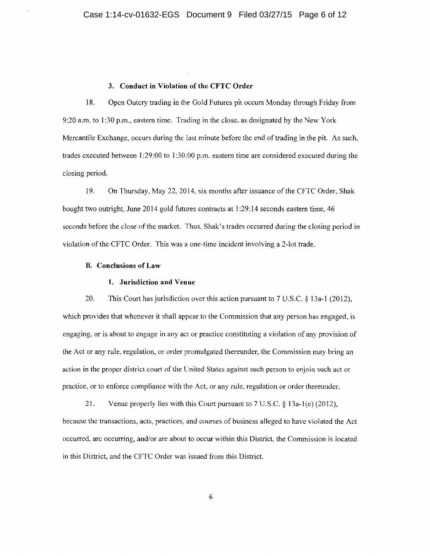# **3. Conduct in Violation of the CFTC Order**

18. Open Outcry trading in the Gold Futures pit occurs Monday through Friday from 9:20 a.m. to 1:30 p.m., eastern time. Trading in the close. as designated by the New York Mercantile Exchange, occurs during the last minute before the end of trading in the pit. As such, trades executed between 1:29:00 to 1:30:00 p.m. eastern time are considered executed during the closing period.

19. On Thursday, May 22,2014, six months after issuance of the CFTC Order, Shak bought two outright. June 2014 gold futures contracts at 1:29:14 seconds eastern time, 46 seconds before the close of the market. Thus, Shak's trades occurred during the closing period in violation of the CFTC Order. This was a one-time incident involving a 2-lot trade.

# **B. Conclusions of Law**

#### **1. Jurisdiction and Venue**

20. This Court has jurisdiction over this action pursuant to 7 U.S.C. § 13a-1 (2012), which provides that whenever it shall appear to the Commission that any person has engaged, is engaging, or is about to engage in any act or practice constituting a violation of any provision of the Act or any rule, regulation, or order promulgated thereunder, the Commission may bring an action in the proper district court of the Cnited States against such person to enjoin such act or practice, or to enforce compliance with the Act, or any rule, regulation or order thereunder.

21. Venue properly lies with this Court pursuant to 7 U.S.C. § 13a-1 (e) (2012), because the transactions, acts, practices, and courses of business alleged to have violated the Act occurred, arc occurring, and/or are about to occur within this District, the Commission is located in this District, and the CFTC Order was issued from this District.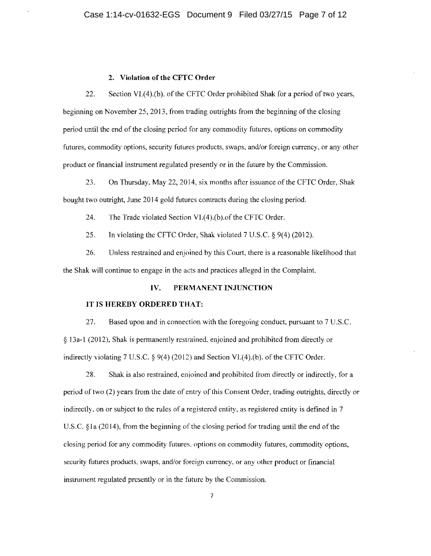#### **2. Violation of the CFTC Order**

22. Section Vl.(4).(b). of the CFTC Order prohibited Shak for a period of two years, beginning on November 25,2013, from trading outrights from the beginning of the closing period until the end of the closing period for any commodity futures, options on commodity futures, commodity options, security futures products, swaps, and/or foreign currency, or any other product or financial instrument regulated presently or in the future by the Commission.

23. On Thursday, May 22, 2014, six months after issuance of the CFTC Order, Shak bought two outright, June 2014 gold futures contracts during the closing period.

24. The Trade violated Section VI.(4).(b). of the CFTC Order.

25. Tn violating the CFTC Order, Shak violated 7 U.S.C. § 9(4) (2012).

26. Unless restrained and enjoined by this Court, there is a reasonable likelihood that the Shak will continue to engage in the acts and practices alleged in the Complaint.

# **IV. PERMANENT INJUNCTION**

#### **IT IS HEREBY ORDERED THAT:**

27. Based upon and in connection with the foregoing conduct, pursuant to 7 U.S.C. § 1 3a-l (20 12), Shak is permanently restrained. enjoined and prohibited from directly or indirectly violating 7 U.S.C.  $\S$  9(4) (2012) and Section VI.(4).(b). of the CFTC Order.

28. Shak is also restrained, enjoined and prohibited from directly or indirectly, for a period of two (2) years from the date of entry of this Consent Order, trading outrights, directly or indirectly. on or subject to the rules of a registered entity, as registered entity is defined in 7 U.S.C. §la (2014), from the beginning of the closing period for trading until the end of the closing period for any commodity futures, options on commodity futures, commodity options, security futures products, swaps, and/or foreign currency, or any other product or financial instrument regulated presently or in the future by the Commission.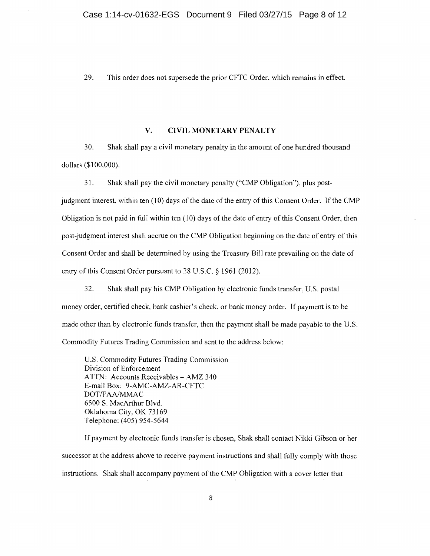29. This order does not supersede the prior CFTC Order. which remains in effect.

# **V. CIVIL MONETARY PENALTY**

30. Shak shall pay a civil monetary penalty in the amount of one hundred thousand dollars (\$100,000).

31. Shak shall pay the civil monetary penalty ("CMP Obligation''), plus post-

judgment interest, within ten  $(10)$  days of the date of the entry of this Consent Order. If the CMP Obligation is not paid in full within ten  $(10)$  days of the date of entry of this Consent Order, then post-judgment interest shall accrue on the CMP Obligation beginning on the date of entry of this Consent Order and shall be determined by using the Treasury Bill rate prevailing on the date of entry of this Consent Order pursuant to 28 U.S.C. § 1961 (2012).

32. Shak shall pay his CMP Obligation by electronic funds transfer, U.S. postal money order, certified check, bank cashier's check. or bank money order. If payment is to be made other than by electronic funds transfer, then the payment shall be made payable to the U.S. Commodity Futures Trading Commission and sent to the address below:

U.S. Commodity Futures Trading Commission Division of Enforcement ATTN: Accounts Receivables- AMZ 340 E-mail Box: 9-AMC-AMZ-AR-CFTC DOT/FAA/MMAC 6500 S. MacArthur Blvd. Oklahoma City, OK 73169 Telephone: (405) 954-5644

If payment by electronic funds transfer is chosen, Shak shall contact Nikki Gibson or her successor at the address above to receive payment instructions and shall fully comply with those instructions. Shak shall accompany payment of the CMP Obligation with a cover letter that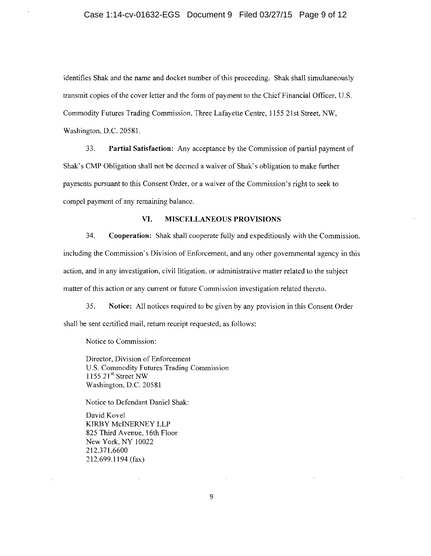identifies Shak and the name and docket number of this proceeding. Shak shall simultaneously transmit copies of the cover letter and the form of payment to the Chief Financial Officer, U.S. Commodity Futures Trading Commission, Three Lafayette Centre, 1155 21st Street, NW, Washington, D.C. 20581.

33. **Partial Satisfaction:** Any acceptance by the Commission of partial payment of Shak's CMP Obligation shall not be deemed a waiver of Shak·s obligation to make further payments pursuant to this Consent Order, or a waiver of the Commission's right to seek to compel payment of any remaining balance.

# **VI. MISCELLANEOUS PROVISIONS**

34. **Cooperation:** Shak shall cooperate fully and expeditiously with the Commission. including the Commission's Division of Enforcement, and any other governmental agency in this action, and in any investigation, civil litigation, or administrative matter related to the subject matter of this action or any current or future Commission investigation related thereto.

35. **Notice:** All notices required to be given by any provision in this Consent Order shall be sent certified mail, return receipt requested, as follows:

Notice to Commission:

Director, Division of Enforcement U.S. Commodity Futures Trading Commission 1155 21st Street NW Washington, D.C. 20581

Notice to Defendant Daniel Shak:

David Kovel KIRBY MciNERNEY LLP 825 Third A venue, 16th Floor New York, NY 10022 212.3 7l.6600 212.699.1194 (fax)

9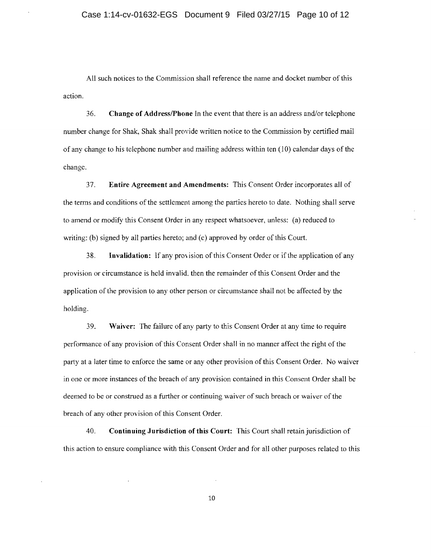All such notices to the Commission shall reference the name and docket number of this action.

36. **Change of Address/Phone** In the event that there is an address and/or telephone number change for Shak, Shak shall provide written notice to the Commission by certified mail of any change to his telephone number and mailing address within ten  $(10)$  calendar days of the change.

37. **Entire Agreement and Amendments:** This Consent Order incorporates all of the terms and conditions ofthe settlement among the parties hereto to date. Nothing shal1 serve to amend or modify this Consent Order in any respect whatsoever, unless: (a) reduced to writing: (b) signed by all parties hereto; and (c) approved by order of this Court.

38. **Invalidation:** If any provision of this Consent Order or if the application of any provision or circumstance is held invalid. then the remainder of this Consent Order and the application of the provision to any other person or circumstance shall not be affected by the holding.

39. **Waiver:** The failure of any party to this Consent Order at any time to require performance of any provision of this Consent Order shall in no manner affect the right of the party at a later time to enforce the same or any other provision of this Consent Order. No waiver in one or more instances of the breach of any provision contained in this Consent Order shall be deemed to be or construed as a further or continuing waiver of such breach or waiver of the breach of any other provision of this Consent Order.

40. **Continuing Jurisdiction of this Court:** This Court shall retain jurisdiction of this action to ensure compliance with this Consent Order and for all other purposes related to this

10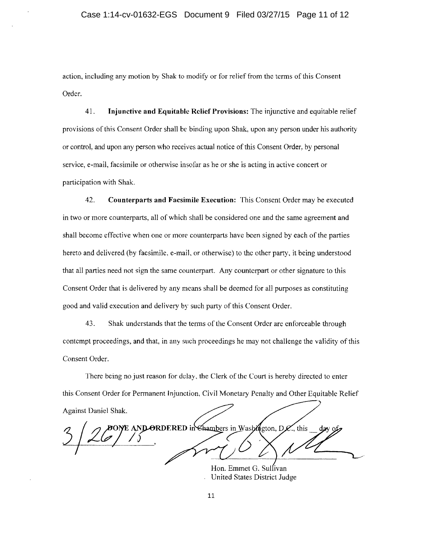action, including any motion by Shak to modify or for relief from the terms of this Consent Order.

41. **Injunctive and Equitable Relief Provisions:** The injunctive and equitable relief provisions of this Consent Order shall be binding upon Shak, upon any person under his authority or control, and upon any person who receives actual notice of this Consent Order, by personal service, e-mail, facsimile or othenvise insofar as he or she is acting in active concert or participation with Shak.

42. **Counterparts and Facsimile Execution:** This Consent Order may he executed in two or more counterparts, all of which shall be considered one and the same agreement and shall become effective when one or more counterparts have been signed by each of the parties hereto and delivered (by facsimile. e-mail, or otherwise) to the other party, it being understood that all parties need not sign the same counterpart. Any counterpart or other signature to this Consent Order that is delivered by any means shall be deemed for all purposes as constituting good and valid execution and delivery by such party of this Consent Order.

43. Shak understands that the terms of the Consent Order are enforceable through contempt proceedings, and that, in any such proceedings he may not challenge the validity of this Consent Order.

There being no just reason for delay, the Clerk of the Court is hereby directed to enter this Consent Order for Permanent Injunction, Civil Monetary Penalty and Other Equitable Relief Against Daniel Shak.

DONE AND ORDERED in Chambers in Washington, D. . this

Hon. Emmet G. Sulfivan United States District Judge